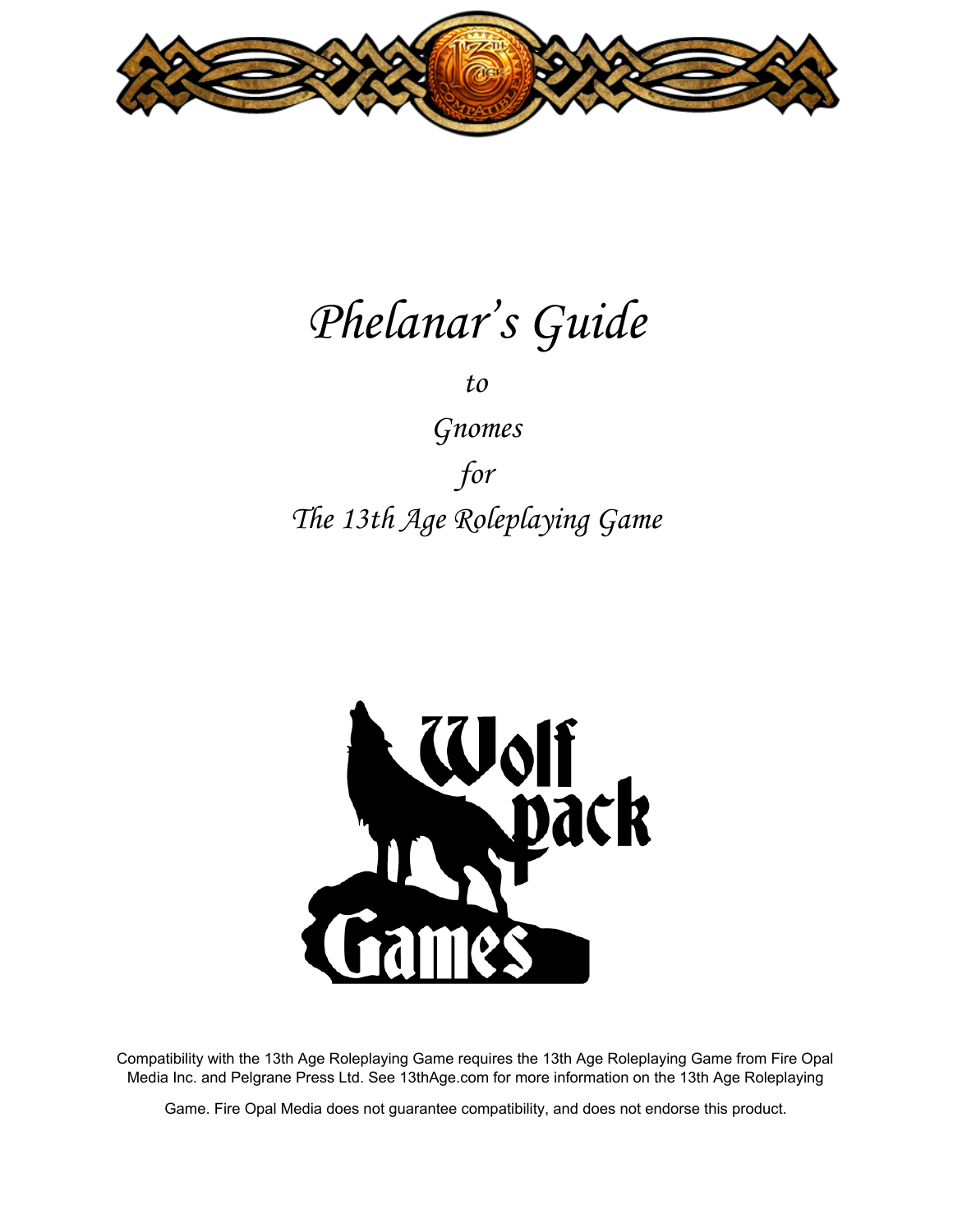

# Phelanar ' s Guide

to

Gnomes for The 13th Age Roleplaying Game



Compatibility with the 13th Age Roleplaying Game requires the 13th Age Roleplaying Game from Fire Opal Media Inc. and Pelgrane Press Ltd. See 13thAge.com for more information on the 13th Age Roleplaying

Game. Fire Opal Media does not guarantee compatibility, and does not endorse this product.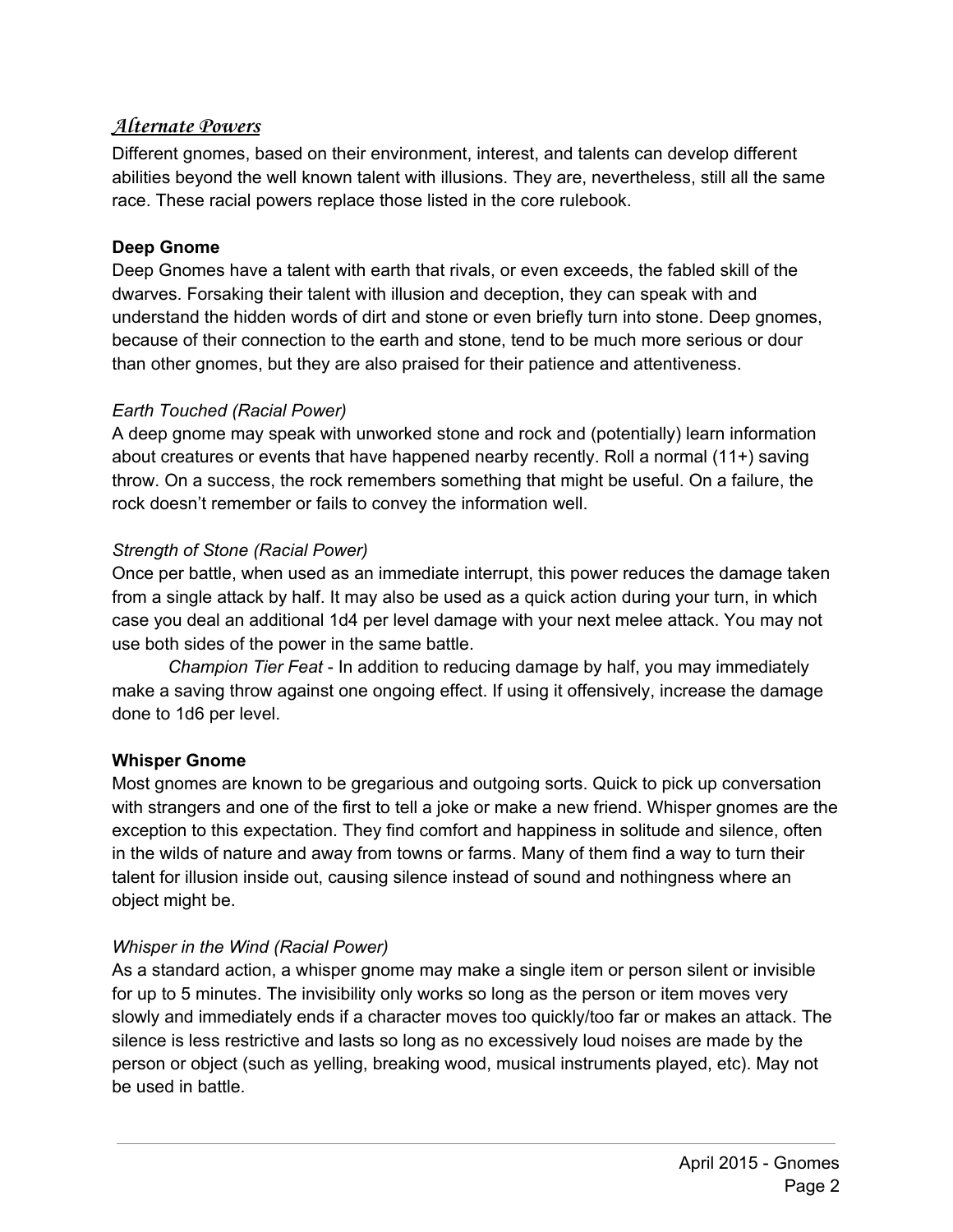# **Alternate Powers**

Different gnomes, based on their environment, interest, and talents can develop different abilities beyond the well known talent with illusions. They are, nevertheless, still all the same race. These racial powers replace those listed in the core rulebook.

# **Deep Gnome**

Deep Gnomes have a talent with earth that rivals, or even exceeds, the fabled skill of the dwarves. Forsaking their talent with illusion and deception, they can speak with and understand the hidden words of dirt and stone or even briefly turn into stone. Deep gnomes, because of their connection to the earth and stone, tend to be much more serious or dour than other gnomes, but they are also praised for their patience and attentiveness.

# *Earth Touched (Racial Power)*

A deep gnome may speak with unworked stone and rock and (potentially) learn information about creatures or events that have happened nearby recently. Roll a normal (11+) saving throw. On a success, the rock remembers something that might be useful. On a failure, the rock doesn't remember or fails to convey the information well.

### *Strength of Stone (Racial Power)*

Once per battle, when used as an immediate interrupt, this power reduces the damage taken from a single attack by half. It may also be used as a quick action during your turn, in which case you deal an additional 1d4 per level damage with your next melee attack. You may not use both sides of the power in the same battle.

*Champion Tier Feat* In addition to reducing damage by half, you may immediately make a saving throw against one ongoing effect. If using it offensively, increase the damage done to 1d6 per level.

# **Whisper Gnome**

Most gnomes are known to be gregarious and outgoing sorts. Quick to pick up conversation with strangers and one of the first to tell a joke or make a new friend. Whisper gnomes are the exception to this expectation. They find comfort and happiness in solitude and silence, often in the wilds of nature and away from towns or farms. Many of them find a way to turn their talent for illusion inside out, causing silence instead of sound and nothingness where an object might be.

# *Whisper in the Wind (Racial Power)*

As a standard action, a whisper gnome may make a single item or person silent or invisible for up to 5 minutes. The invisibility only works so long as the person or item moves very slowly and immediately ends if a character moves too quickly/too far or makes an attack. The silence is less restrictive and lasts so long as no excessively loud noises are made by the person or object (such as yelling, breaking wood, musical instruments played, etc). May not be used in battle.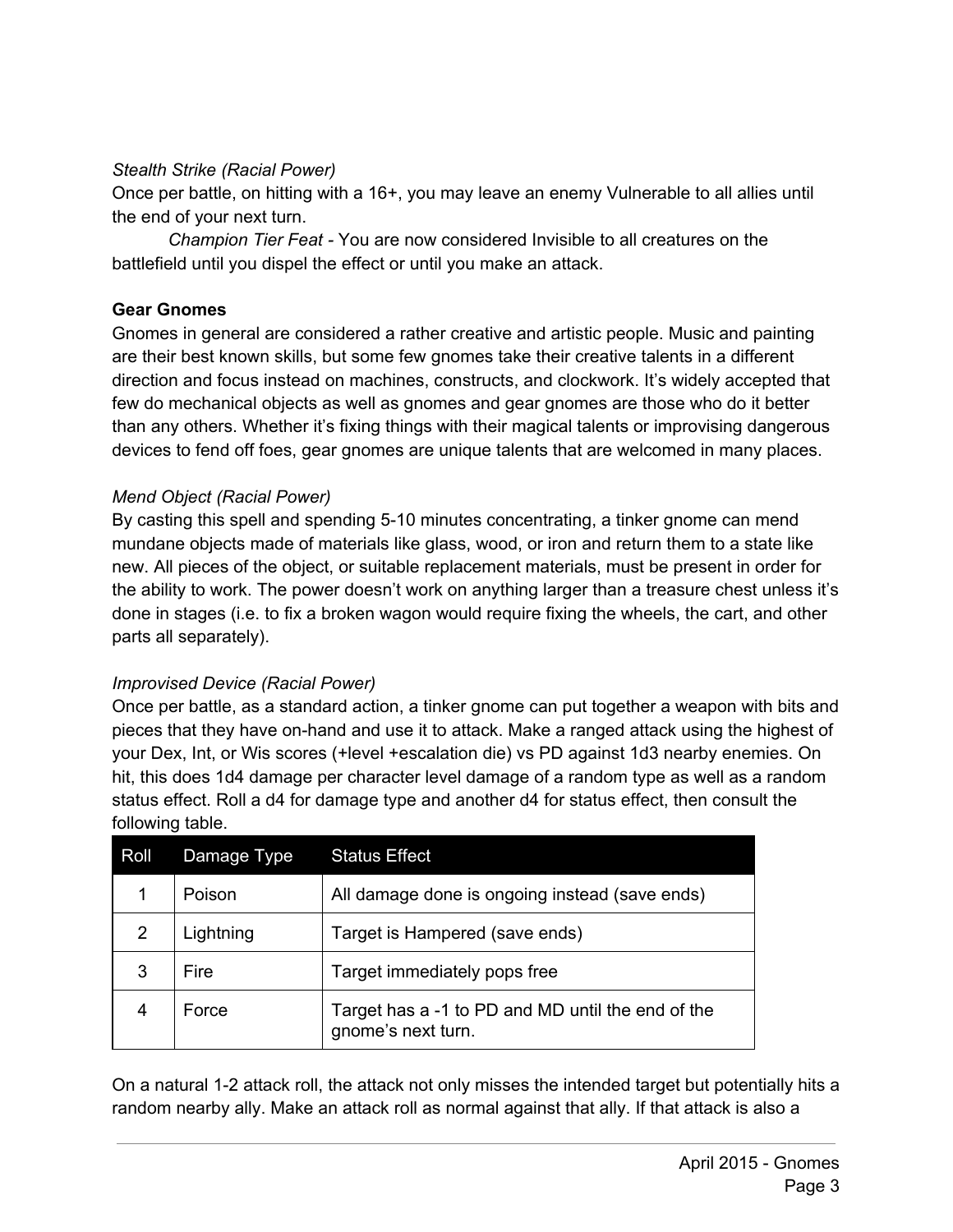## *Stealth Strike (Racial Power)*

Once per battle, on hitting with a 16+, you may leave an enemy Vulnerable to all allies until the end of your next turn.

*Champion Tier Feat* You are now considered Invisible to all creatures on the battlefield until you dispel the effect or until you make an attack.

#### **Gear Gnomes**

Gnomes in general are considered a rather creative and artistic people. Music and painting are their best known skills, but some few gnomes take their creative talents in a different direction and focus instead on machines, constructs, and clockwork. It's widely accepted that few do mechanical objects as well as gnomes and gear gnomes are those who do it better than any others. Whether it's fixing things with their magical talents or improvising dangerous devices to fend off foes, gear gnomes are unique talents that are welcomed in many places.

### *Mend Object (Racial Power)*

By casting this spell and spending 5-10 minutes concentrating, a tinker gnome can mend mundane objects made of materials like glass, wood, or iron and return them to a state like new. All pieces of the object, or suitable replacement materials, must be present in order for the ability to work. The power doesn't work on anything larger than a treasure chest unless it's done in stages (i.e. to fix a broken wagon would require fixing the wheels, the cart, and other parts all separately).

# *Improvised Device (Racial Power)*

Once per battle, as a standard action, a tinker gnome can put together a weapon with bits and pieces that they have on-hand and use it to attack. Make a ranged attack using the highest of your Dex, Int, or Wis scores (+level +escalation die) vs PD against 1d3 nearby enemies. On hit, this does 1d4 damage per character level damage of a random type as well as a random status effect. Roll a d4 for damage type and another d4 for status effect, then consult the following table.

| Roll           | Damage Type | <b>Status Effect</b>                                                    |
|----------------|-------------|-------------------------------------------------------------------------|
|                | Poison      | All damage done is ongoing instead (save ends)                          |
| $\overline{2}$ | Lightning   | Target is Hampered (save ends)                                          |
| 3              | Fire        | Target immediately pops free                                            |
| 4              | Force       | Target has a -1 to PD and MD until the end of the<br>gnome's next turn. |

On a natural 12 attack roll, the attack not only misses the intended target but potentially hits a random nearby ally. Make an attack roll as normal against that ally. If that attack is also a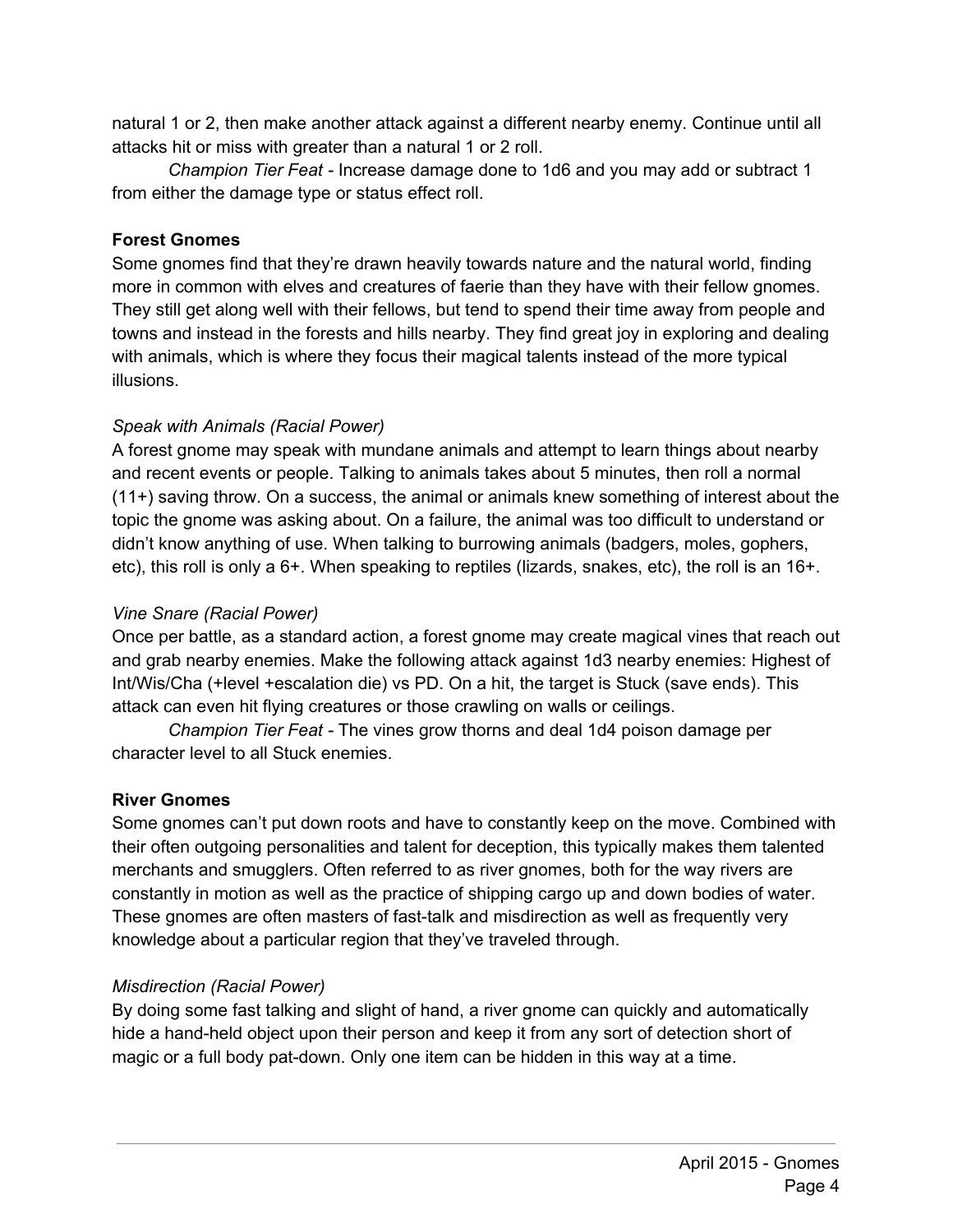natural 1 or 2, then make another attack against a different nearby enemy. Continue until all attacks hit or miss with greater than a natural 1 or 2 roll.

*Champion Tier Feat* Increase damage done to 1d6 and you may add or subtract 1 from either the damage type or status effect roll.

# **Forest Gnomes**

Some gnomes find that they're drawn heavily towards nature and the natural world, finding more in common with elves and creatures of faerie than they have with their fellow gnomes. They still get along well with their fellows, but tend to spend their time away from people and towns and instead in the forests and hills nearby. They find great joy in exploring and dealing with animals, which is where they focus their magical talents instead of the more typical illusions.

# *Speak with Animals (Racial Power)*

A forest gnome may speak with mundane animals and attempt to learn things about nearby and recent events or people. Talking to animals takes about 5 minutes, then roll a normal (11+) saving throw. On a success, the animal or animals knew something of interest about the topic the gnome was asking about. On a failure, the animal was too difficult to understand or didn't know anything of use. When talking to burrowing animals (badgers, moles, gophers, etc), this roll is only a 6+. When speaking to reptiles (lizards, snakes, etc), the roll is an 16+.

# *Vine Snare (Racial Power)*

Once per battle, as a standard action, a forest gnome may create magical vines that reach out and grab nearby enemies. Make the following attack against 1d3 nearby enemies: Highest of Int/Wis/Cha (+level +escalation die) vs PD. On a hit, the target is Stuck (save ends). This attack can even hit flying creatures or those crawling on walls or ceilings.

*Champion Tier Feat* The vines grow thorns and deal 1d4 poison damage per character level to all Stuck enemies.

# **River Gnomes**

Some gnomes can't put down roots and have to constantly keep on the move. Combined with their often outgoing personalities and talent for deception, this typically makes them talented merchants and smugglers. Often referred to as river gnomes, both for the way rivers are constantly in motion as well as the practice of shipping cargo up and down bodies of water. These gnomes are often masters of fast-talk and misdirection as well as frequently very knowledge about a particular region that they've traveled through.

# *Misdirection (Racial Power)*

By doing some fast talking and slight of hand, a river gnome can quickly and automatically hide a hand-held object upon their person and keep it from any sort of detection short of magic or a full body pat-down. Only one item can be hidden in this way at a time.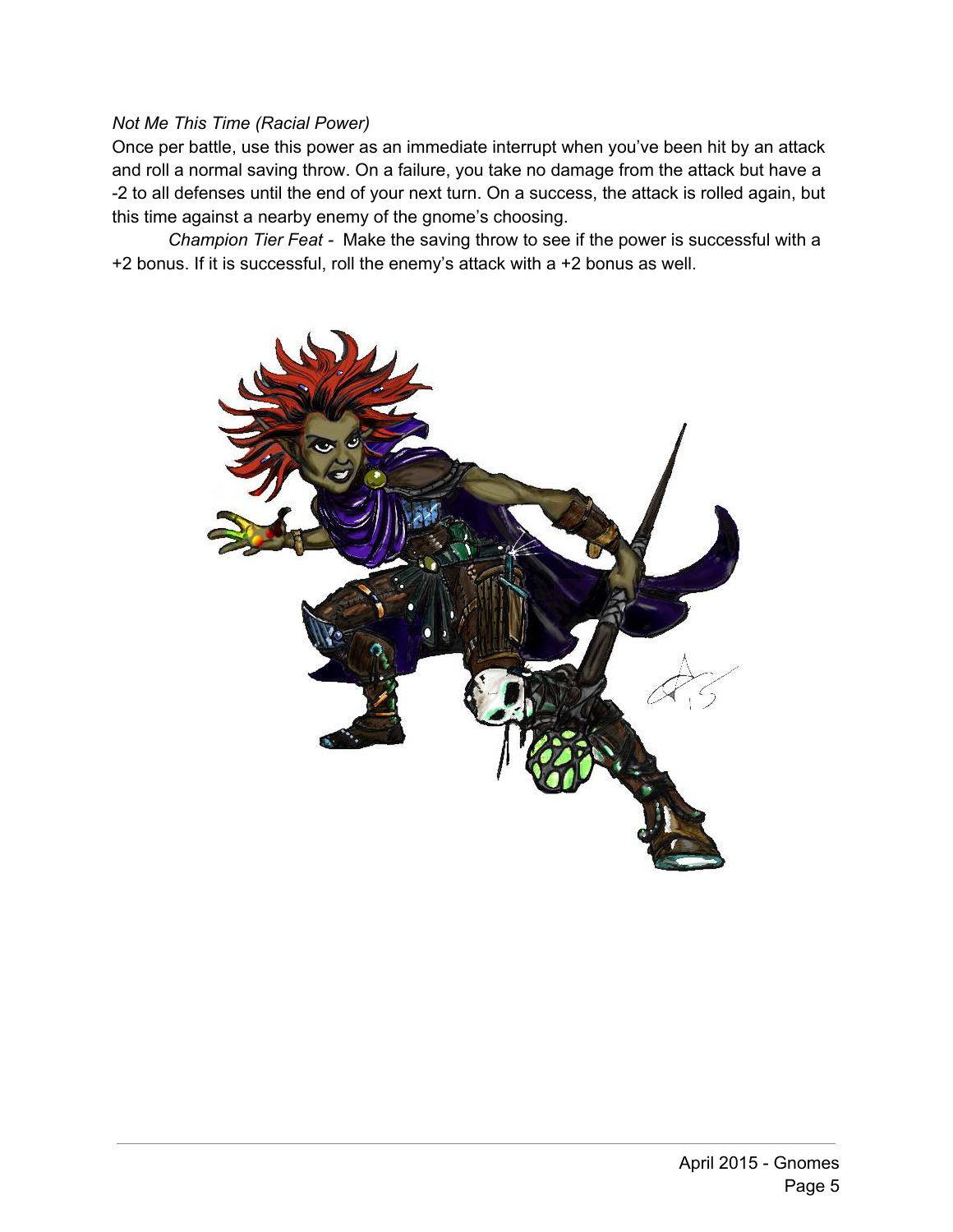#### *Not Me This Time (Racial Power)*

Once per battle, use this power as an immediate interrupt when you've been hit by an attack and roll a normal saving throw. On a failure, you take no damage from the attack but have a 2 to all defenses until the end of your next turn. On a success, the attack is rolled again, but this time against a nearby enemy of the gnome's choosing.

*Champion Tier Feat* Make the saving throw to see if the power is successful with a +2 bonus. If it is successful, roll the enemy's attack with a +2 bonus as well.

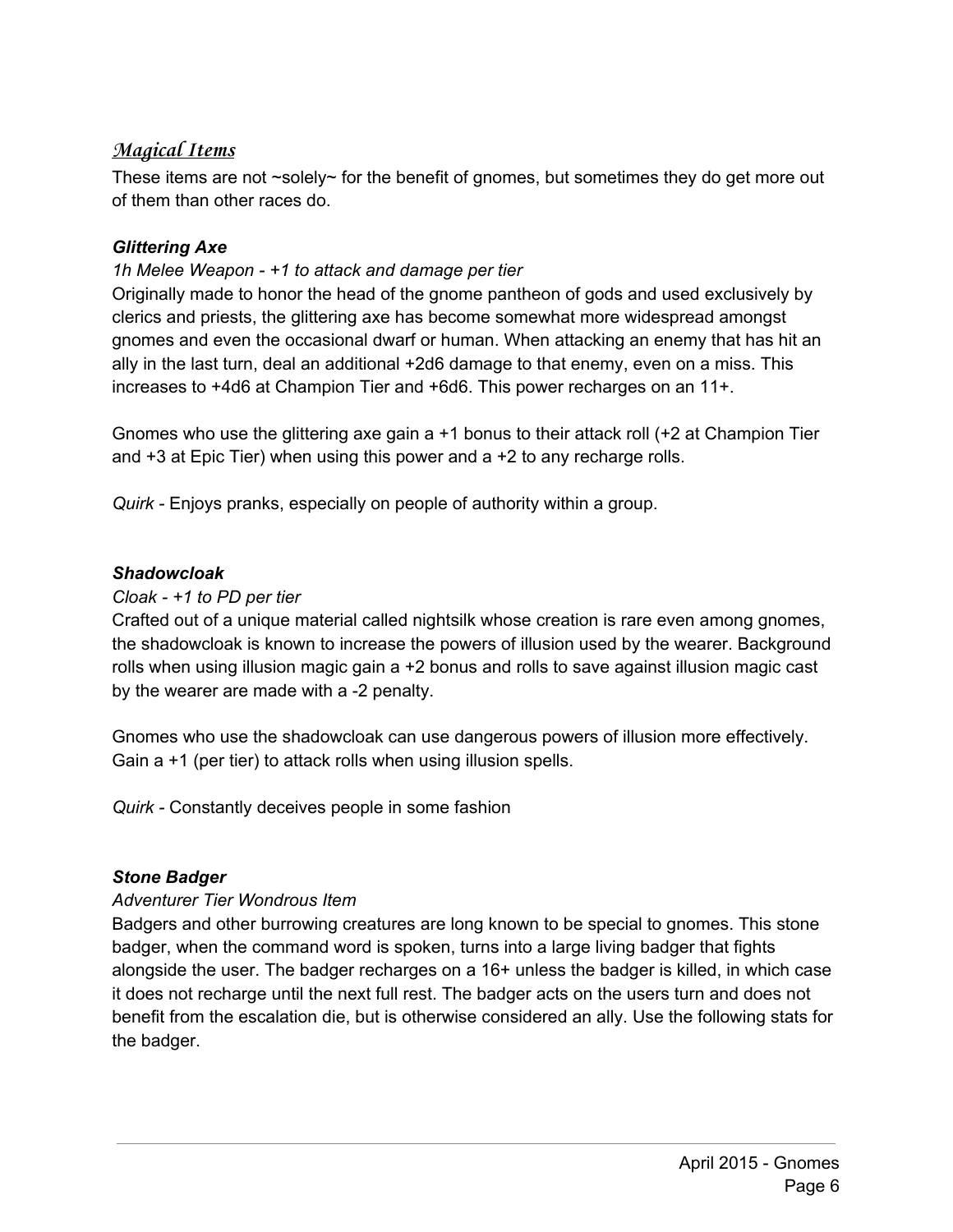# **Magical Items**

These items are not  $\sim$ solely $\sim$  for the benefit of gnomes, but sometimes they do get more out of them than other races do.

# *Glittering Axe*

# *1h Melee Weapon +1 to attack and damage per tier*

Originally made to honor the head of the gnome pantheon of gods and used exclusively by clerics and priests, the glittering axe has become somewhat more widespread amongst gnomes and even the occasional dwarf or human. When attacking an enemy that has hit an ally in the last turn, deal an additional +2d6 damage to that enemy, even on a miss. This increases to +4d6 at Champion Tier and +6d6. This power recharges on an 11+.

Gnomes who use the glittering axe gain a +1 bonus to their attack roll (+2 at Champion Tier and +3 at Epic Tier) when using this power and a +2 to any recharge rolls.

*Quirk* Enjoys pranks, especially on people of authority within a group.

# *Shadowcloak*

# *Cloak +1 to PD per tier*

Crafted out of a unique material called nightsilk whose creation is rare even among gnomes, the shadowcloak is known to increase the powers of illusion used by the wearer. Background rolls when using illusion magic gain a +2 bonus and rolls to save against illusion magic cast by the wearer are made with a -2 penalty.

Gnomes who use the shadowcloak can use dangerous powers of illusion more effectively. Gain a +1 (per tier) to attack rolls when using illusion spells.

*Quirk* Constantly deceives people in some fashion

# *Stone Badger*

# *Adventurer Tier Wondrous Item*

Badgers and other burrowing creatures are long known to be special to gnomes. This stone badger, when the command word is spoken, turns into a large living badger that fights alongside the user. The badger recharges on a 16+ unless the badger is killed, in which case it does not recharge until the next full rest. The badger acts on the users turn and does not benefit from the escalation die, but is otherwise considered an ally. Use the following stats for the badger.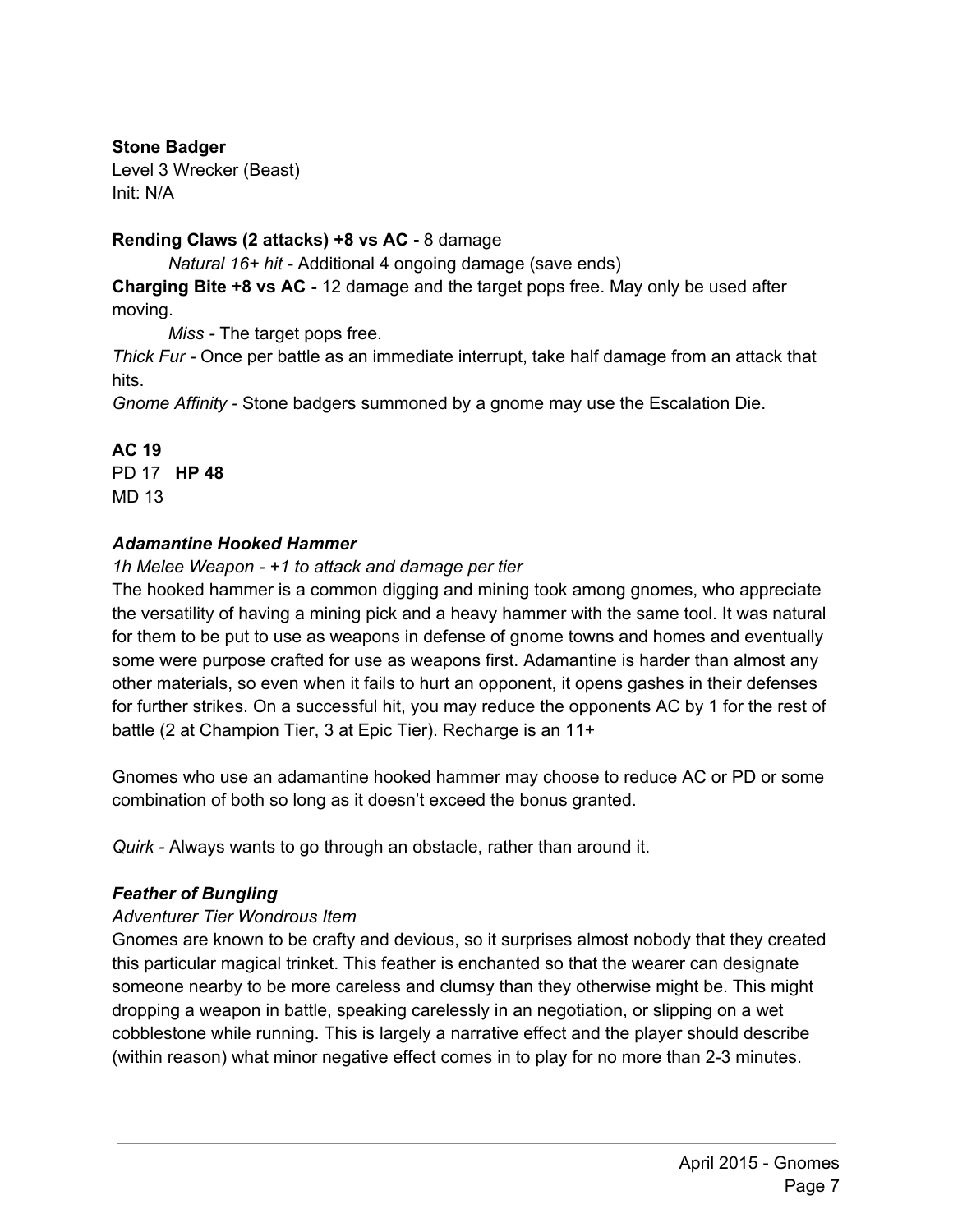# **Stone Badger**

Level 3 Wrecker (Beast) Init: N/A

# **Rending Claws (2 attacks) +8 vs AC - 8 damage**

*Natural 16+ hit* Additional 4 ongoing damage (save ends)

**Charging Bite +8 vs AC** 12 damage and the target pops free. May only be used after moving.

*Miss* - The target pops free.

*Thick Fur* Once per battle as an immediate interrupt, take half damage from an attack that hits.

*Gnome Affinity* Stone badgers summoned by a gnome may use the Escalation Die.

**AC 19**

PD 17 **HP 48** MD 13

# *Adamantine Hooked Hammer*

*1h Melee Weapon +1 to attack and damage per tier*

The hooked hammer is a common digging and mining took among gnomes, who appreciate the versatility of having a mining pick and a heavy hammer with the same tool. It was natural for them to be put to use as weapons in defense of gnome towns and homes and eventually some were purpose crafted for use as weapons first. Adamantine is harder than almost any other materials, so even when it fails to hurt an opponent, it opens gashes in their defenses for further strikes. On a successful hit, you may reduce the opponents AC by 1 for the rest of battle (2 at Champion Tier, 3 at Epic Tier). Recharge is an 11+

Gnomes who use an adamantine hooked hammer may choose to reduce AC or PD or some combination of both so long as it doesn't exceed the bonus granted.

*Quirk* Always wants to go through an obstacle, rather than around it.

# *Feather of Bungling*

#### *Adventurer Tier Wondrous Item*

Gnomes are known to be crafty and devious, so it surprises almost nobody that they created this particular magical trinket. This feather is enchanted so that the wearer can designate someone nearby to be more careless and clumsy than they otherwise might be. This might dropping a weapon in battle, speaking carelessly in an negotiation, or slipping on a wet cobblestone while running. This is largely a narrative effect and the player should describe (within reason) what minor negative effect comes in to play for no more than 2-3 minutes.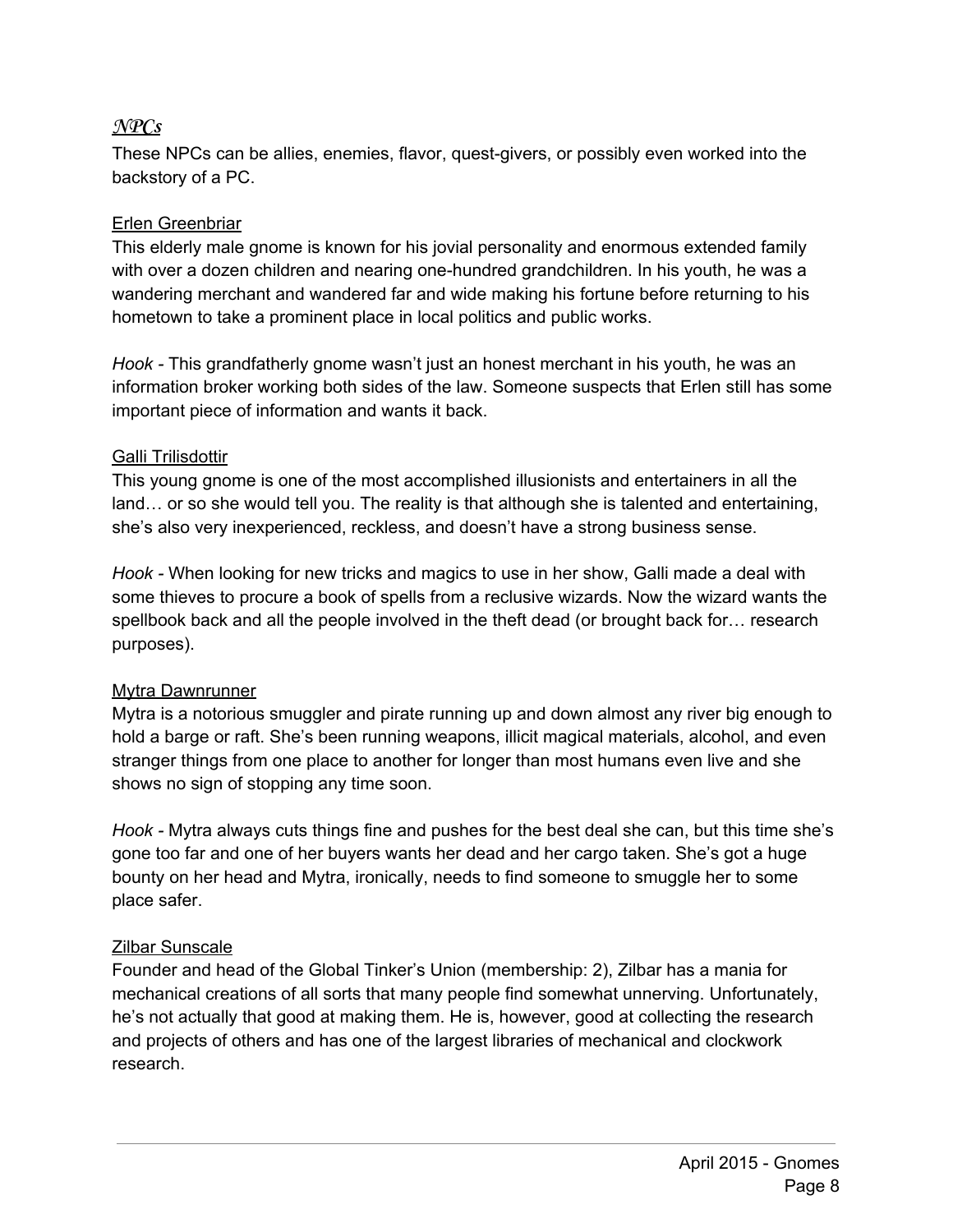# **NPCs**

These NPCs can be allies, enemies, flavor, quest-givers, or possibly even worked into the backstory of a PC.

# Erlen Greenbriar

This elderly male gnome is known for his jovial personality and enormous extended family with over a dozen children and nearing one-hundred grandchildren. In his youth, he was a wandering merchant and wandered far and wide making his fortune before returning to his hometown to take a prominent place in local politics and public works.

*Hook* This grandfatherly gnome wasn't just an honest merchant in his youth, he was an information broker working both sides of the law. Someone suspects that Erlen still has some important piece of information and wants it back.

# Galli Trilisdottir

This young gnome is one of the most accomplished illusionists and entertainers in all the land… or so she would tell you. The reality is that although she is talented and entertaining, she's also very inexperienced, reckless, and doesn't have a strong business sense.

*Hook* When looking for new tricks and magics to use in her show, Galli made a deal with some thieves to procure a book of spells from a reclusive wizards. Now the wizard wants the spellbook back and all the people involved in the theft dead (or brought back for… research purposes).

# Mytra Dawnrunner

Mytra is a notorious smuggler and pirate running up and down almost any river big enough to hold a barge or raft. She's been running weapons, illicit magical materials, alcohol, and even stranger things from one place to another for longer than most humans even live and she shows no sign of stopping any time soon.

*Hook* Mytra always cuts things fine and pushes for the best deal she can, but this time she's gone too far and one of her buyers wants her dead and her cargo taken. She's got a huge bounty on her head and Mytra, ironically, needs to find someone to smuggle her to some place safer.

# Zilbar Sunscale

Founder and head of the Global Tinker's Union (membership: 2), Zilbar has a mania for mechanical creations of all sorts that many people find somewhat unnerving. Unfortunately, he's not actually that good at making them. He is, however, good at collecting the research and projects of others and has one of the largest libraries of mechanical and clockwork research.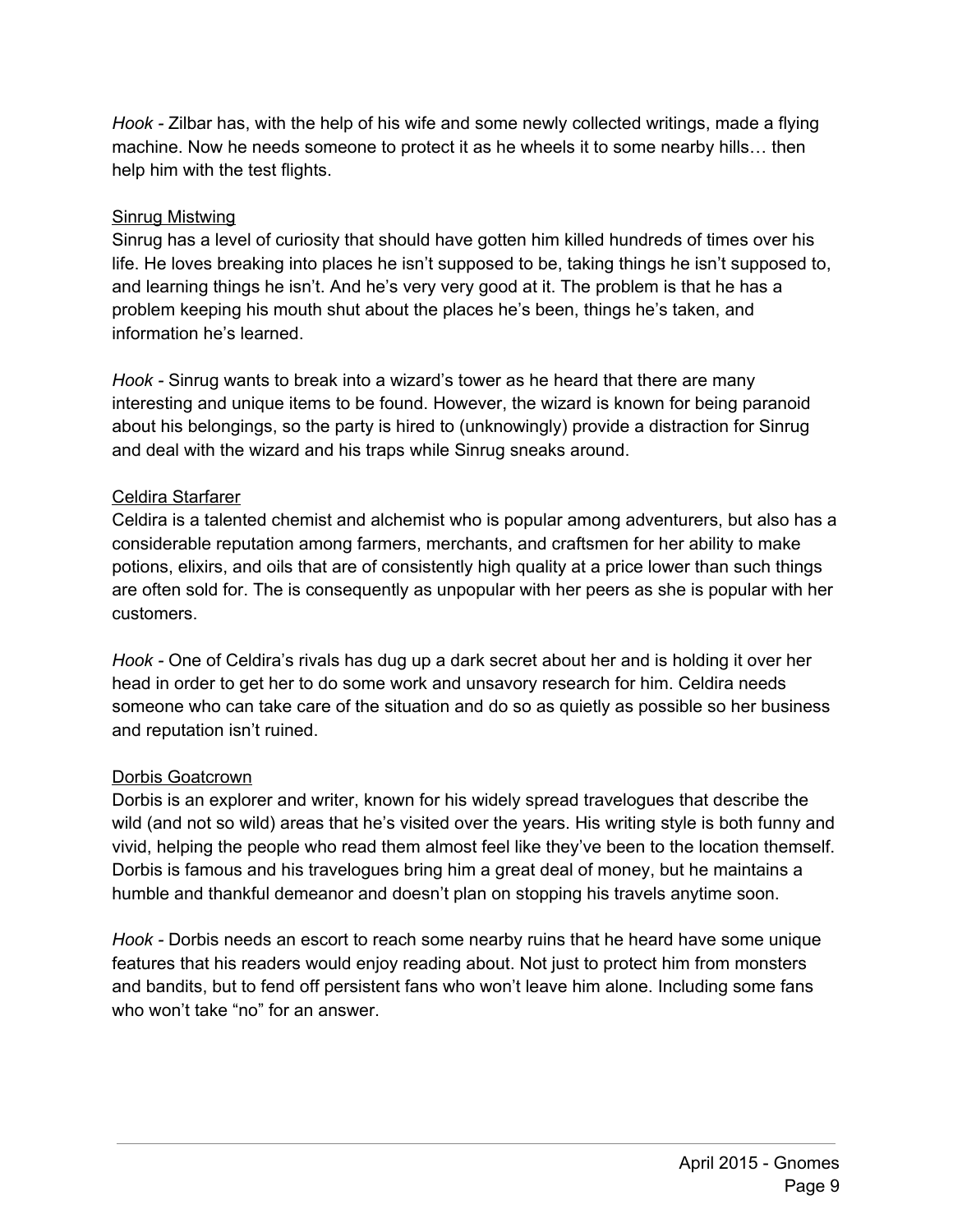*Hook* Zilbar has, with the help of his wife and some newly collected writings, made a flying machine. Now he needs someone to protect it as he wheels it to some nearby hills… then help him with the test flights.

#### Sinrug Mistwing

Sinrug has a level of curiosity that should have gotten him killed hundreds of times over his life. He loves breaking into places he isn't supposed to be, taking things he isn't supposed to, and learning things he isn't. And he's very very good at it. The problem is that he has a problem keeping his mouth shut about the places he's been, things he's taken, and information he's learned.

*Hook* Sinrug wants to break into a wizard's tower as he heard that there are many interesting and unique items to be found. However, the wizard is known for being paranoid about his belongings, so the party is hired to (unknowingly) provide a distraction for Sinrug and deal with the wizard and his traps while Sinrug sneaks around.

#### Celdira Starfarer

Celdira is a talented chemist and alchemist who is popular among adventurers, but also has a considerable reputation among farmers, merchants, and craftsmen for her ability to make potions, elixirs, and oils that are of consistently high quality at a price lower than such things are often sold for. The is consequently as unpopular with her peers as she is popular with her customers.

*Hook* - One of Celdira's rivals has dug up a dark secret about her and is holding it over her head in order to get her to do some work and unsavory research for him. Celdira needs someone who can take care of the situation and do so as quietly as possible so her business and reputation isn't ruined.

#### Dorbis Goatcrown

Dorbis is an explorer and writer, known for his widely spread travelogues that describe the wild (and not so wild) areas that he's visited over the years. His writing style is both funny and vivid, helping the people who read them almost feel like they've been to the location themself. Dorbis is famous and his travelogues bring him a great deal of money, but he maintains a humble and thankful demeanor and doesn't plan on stopping his travels anytime soon.

*Hook* - Dorbis needs an escort to reach some nearby ruins that he heard have some unique features that his readers would enjoy reading about. Not just to protect him from monsters and bandits, but to fend off persistent fans who won't leave him alone. Including some fans who won't take "no" for an answer.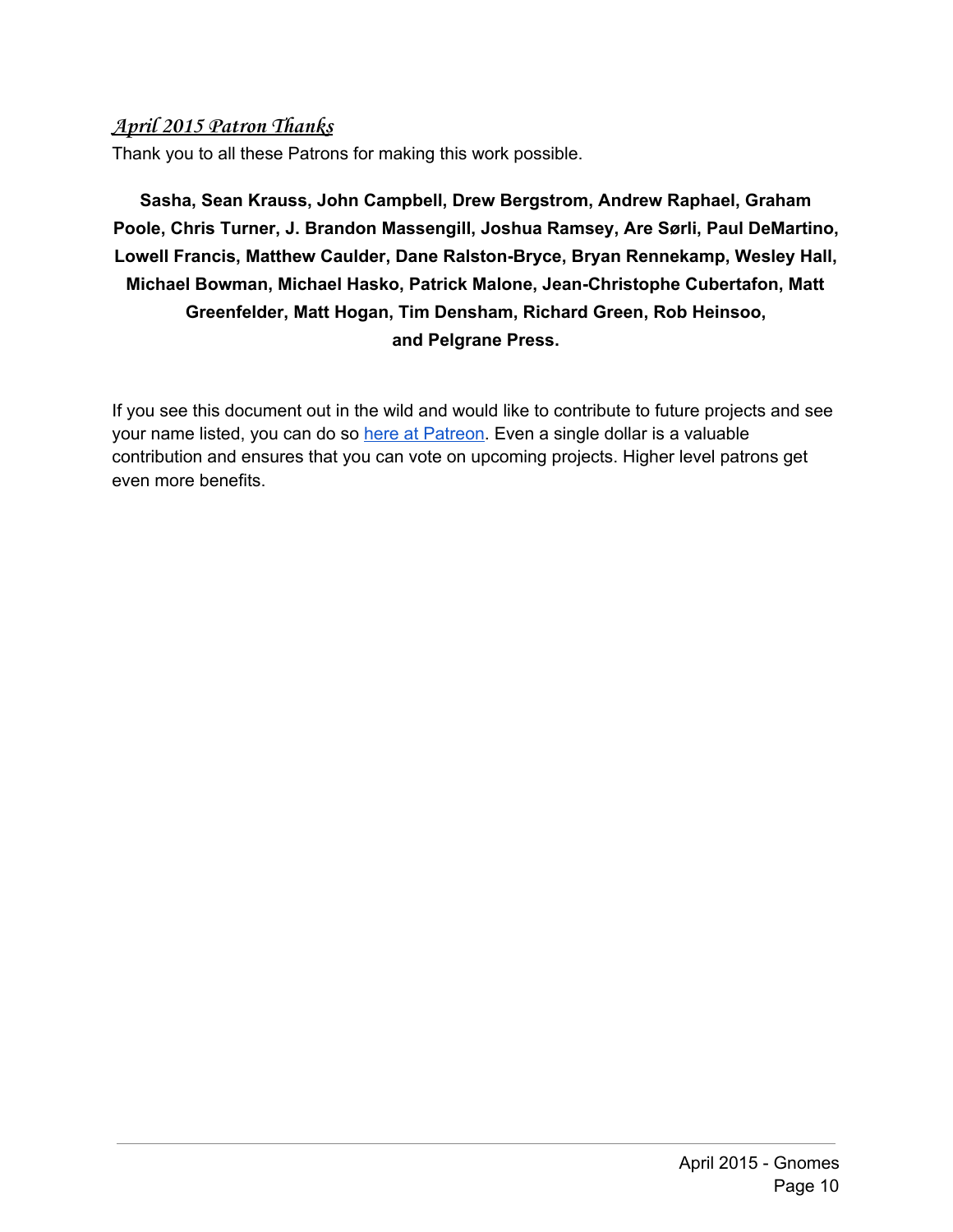# **April 2015 Patron Thanks**

Thank you to all these Patrons for making this work possible.

**Sasha, Sean Krauss, John Campbell, Drew Bergstrom, Andrew Raphael, Graham Poole, Chris Turner, J. Brandon Massengill, Joshua Ramsey, Are Sørli, Paul DeMartino, Lowell Francis, Matthew Caulder, Dane Ralston-Bryce, Bryan Rennekamp, Wesley Hall, Michael Bowman, Michael Hasko, Patrick Malone, JeanChristophe Cubertafon, Matt Greenfelder, Matt Hogan, Tim Densham, Richard Green, Rob Heinsoo, and Pelgrane Press.**

If you see this document out in the wild and would like to contribute to future projects and see your name listed, you can do so here at [Patreon.](http://www.patreon.com/wolfsamurai) Even a single dollar is a valuable contribution and ensures that you can vote on upcoming projects. Higher level patrons get even more benefits.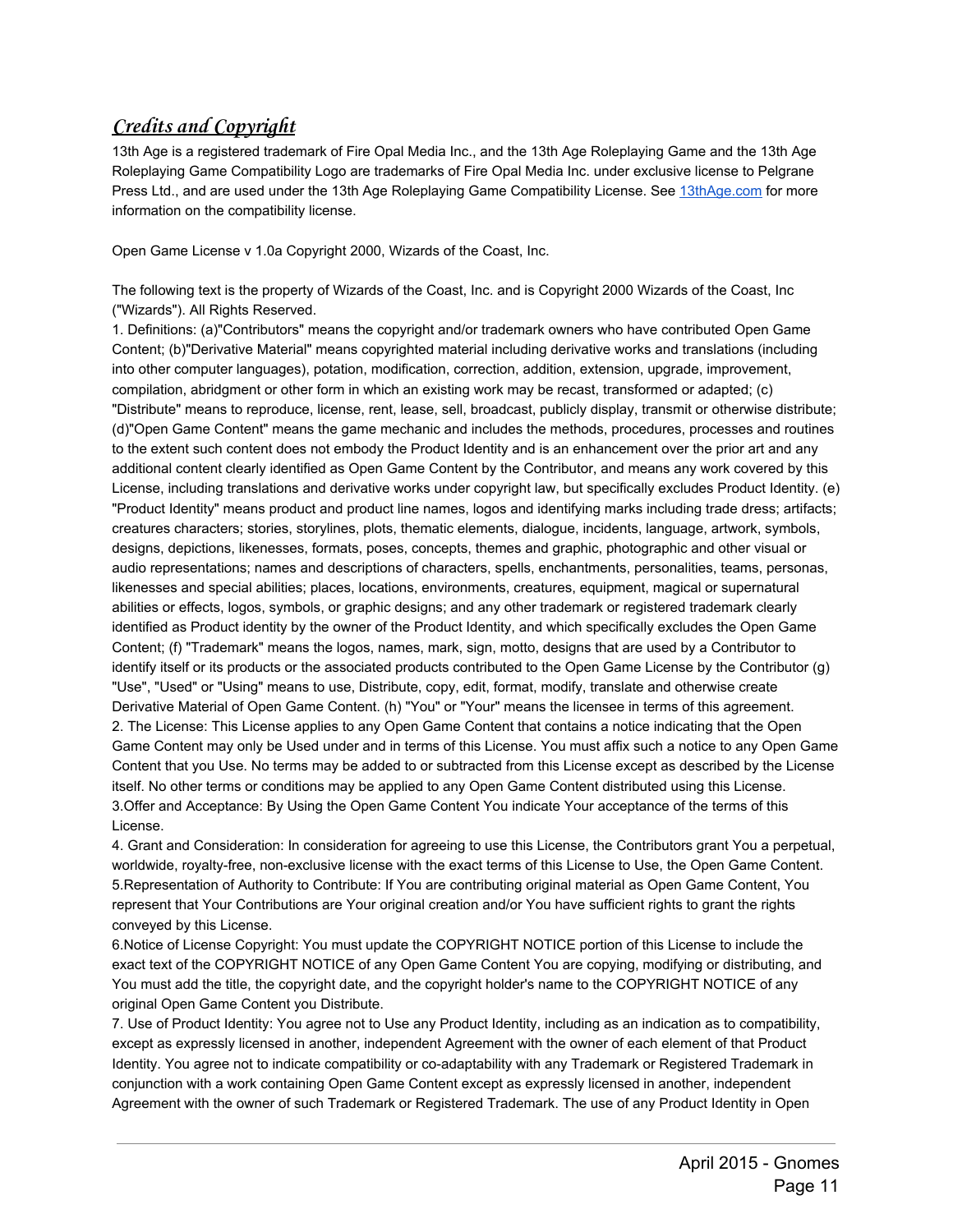# **Credits and Copyright**

13th Age is a registered trademark of Fire Opal Media Inc., and the 13th Age Roleplaying Game and the 13th Age Roleplaying Game Compatibility Logo are trademarks of Fire Opal Media Inc. under exclusive license to Pelgrane Press Ltd., and are used under the 13th Age Roleplaying Game Compatibility License. See [13thAge.com](http://www.13thage.com/) for more information on the compatibility license.

Open Game License v 1.0a Copyright 2000, Wizards of the Coast, Inc.

The following text is the property of Wizards of the Coast, Inc. and is Copyright 2000 Wizards of the Coast, Inc ("Wizards"). All Rights Reserved.

1. Definitions: (a)"Contributors" means the copyright and/or trademark owners who have contributed Open Game Content; (b)"Derivative Material" means copyrighted material including derivative works and translations (including into other computer languages), potation, modification, correction, addition, extension, upgrade, improvement, compilation, abridgment or other form in which an existing work may be recast, transformed or adapted; (c) "Distribute" means to reproduce, license, rent, lease, sell, broadcast, publicly display, transmit or otherwise distribute; (d)"Open Game Content" means the game mechanic and includes the methods, procedures, processes and routines to the extent such content does not embody the Product Identity and is an enhancement over the prior art and any additional content clearly identified as Open Game Content by the Contributor, and means any work covered by this License, including translations and derivative works under copyright law, but specifically excludes Product Identity. (e) "Product Identity" means product and product line names, logos and identifying marks including trade dress; artifacts; creatures characters; stories, storylines, plots, thematic elements, dialogue, incidents, language, artwork, symbols, designs, depictions, likenesses, formats, poses, concepts, themes and graphic, photographic and other visual or audio representations; names and descriptions of characters, spells, enchantments, personalities, teams, personas, likenesses and special abilities; places, locations, environments, creatures, equipment, magical or supernatural abilities or effects, logos, symbols, or graphic designs; and any other trademark or registered trademark clearly identified as Product identity by the owner of the Product Identity, and which specifically excludes the Open Game Content; (f) "Trademark" means the logos, names, mark, sign, motto, designs that are used by a Contributor to identify itself or its products or the associated products contributed to the Open Game License by the Contributor (g) "Use", "Used" or "Using" means to use, Distribute, copy, edit, format, modify, translate and otherwise create Derivative Material of Open Game Content. (h) "You" or "Your" means the licensee in terms of this agreement. 2. The License: This License applies to any Open Game Content that contains a notice indicating that the Open Game Content may only be Used under and in terms of this License. You must affix such a notice to any Open Game Content that you Use. No terms may be added to or subtracted from this License except as described by the License itself. No other terms or conditions may be applied to any Open Game Content distributed using this License. 3.Offer and Acceptance: By Using the Open Game Content You indicate Your acceptance of the terms of this License.

4. Grant and Consideration: In consideration for agreeing to use this License, the Contributors grant You a perpetual, worldwide, royalty-free, non-exclusive license with the exact terms of this License to Use, the Open Game Content. 5.Representation of Authority to Contribute: If You are contributing original material as Open Game Content, You represent that Your Contributions are Your original creation and/or You have sufficient rights to grant the rights conveyed by this License.

6.Notice of License Copyright: You must update the COPYRIGHT NOTICE portion of this License to include the exact text of the COPYRIGHT NOTICE of any Open Game Content You are copying, modifying or distributing, and You must add the title, the copyright date, and the copyright holder's name to the COPYRIGHT NOTICE of any original Open Game Content you Distribute.

7. Use of Product Identity: You agree not to Use any Product Identity, including as an indication as to compatibility, except as expressly licensed in another, independent Agreement with the owner of each element of that Product Identity. You agree not to indicate compatibility or co-adaptability with any Trademark or Registered Trademark in conjunction with a work containing Open Game Content except as expressly licensed in another, independent Agreement with the owner of such Trademark or Registered Trademark. The use of any Product Identity in Open